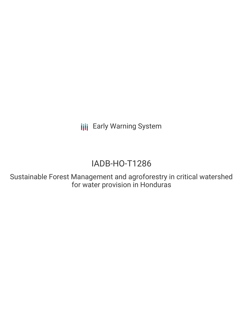# IADB-HO-T1286

Sustainable Forest Management and agroforestry in critical watershed for water provision in Honduras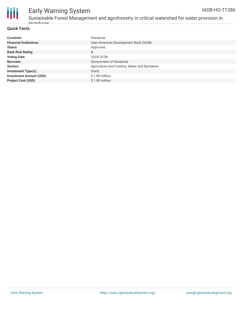



Sustainable Forest Management and agroforestry in critical watershed for water provision in Honduras

#### **Quick Facts**

| <b>Countries</b>               | Honduras                                       |
|--------------------------------|------------------------------------------------|
| <b>Financial Institutions</b>  | Inter-American Development Bank (IADB)         |
| <b>Status</b>                  | Approved                                       |
| <b>Bank Risk Rating</b>        | B                                              |
| <b>Voting Date</b>             | 2018-10-04                                     |
| <b>Borrower</b>                | Government of Honduras                         |
| <b>Sectors</b>                 | Agriculture and Forestry, Water and Sanitation |
| <b>Investment Type(s)</b>      | Grant                                          |
| <b>Investment Amount (USD)</b> | $$1.80$ million                                |
| <b>Project Cost (USD)</b>      | \$1.80 million                                 |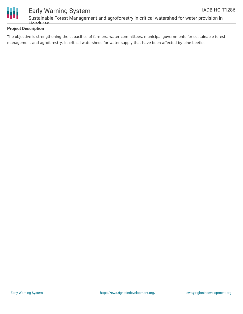



Sustainable Forest Management and agroforestry in critical watershed for water provision in Honduras

#### **Project Description**

The objective is strengthening the capacities of farmers, water committees, municipal governments for sustainable forest management and agroforestry, in critical watersheds for water supply that have been affected by pine beetle.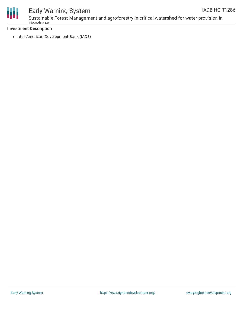

Sustainable Forest Management and agroforestry in critical watershed for water provision in Honduras

#### **Investment Description**

• Inter-American Development Bank (IADB)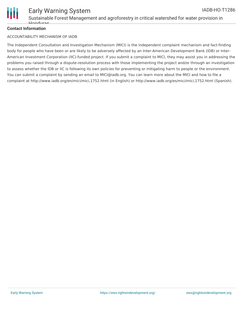

#### **Contact Information**

 $H_{\Omega}$ 

#### ACCOUNTABILITY MECHANISM OF IADB

The Independent Consultation and Investigation Mechanism (MICI) is the independent complaint mechanism and fact-finding body for people who have been or are likely to be adversely affected by an Inter-American Development Bank (IDB) or Inter-American Investment Corporation (IIC)-funded project. If you submit a complaint to MICI, they may assist you in addressing the problems you raised through a dispute-resolution process with those implementing the project and/or through an investigation to assess whether the IDB or IIC is following its own policies for preventing or mitigating harm to people or the environment. You can submit a complaint by sending an email to MICI@iadb.org. You can learn more about the MICI and how to file a complaint at http://www.iadb.org/en/mici/mici,1752.html (in English) or http://www.iadb.org/es/mici/mici,1752.html (Spanish).